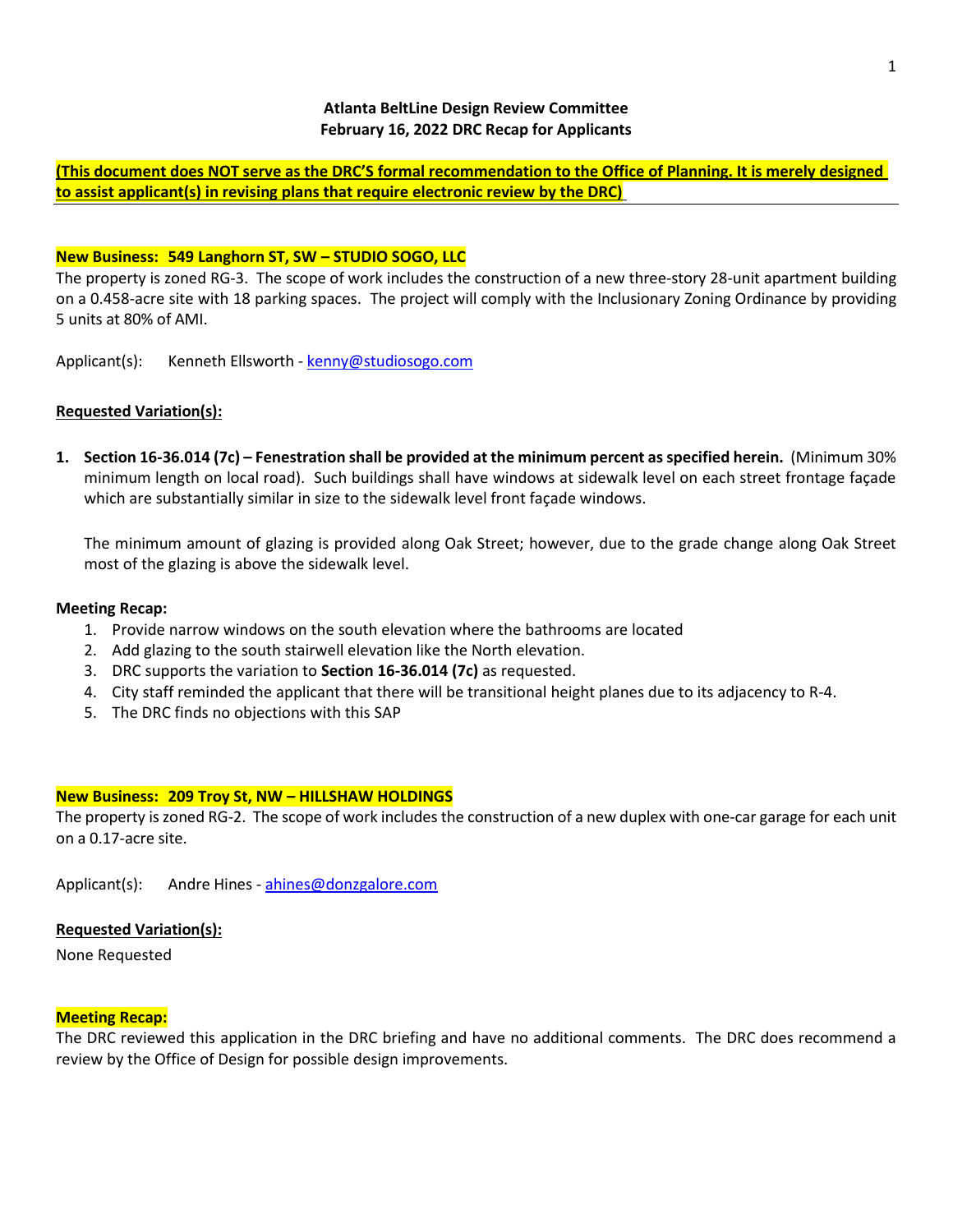**(This document does NOT serve as the DRC'S formal recommendation to the Office of Planning. It is merely designed to assist applicant(s) in revising plans that require electronic review by the DRC)**

### **New Business: 549 Langhorn ST, SW – STUDIO SOGO, LLC**

The property is zoned RG-3. The scope of work includes the construction of a new three-story 28-unit apartment building on a 0.458-acre site with 18 parking spaces. The project will comply with the Inclusionary Zoning Ordinance by providing 5 units at 80% of AMI.

Applicant(s): Kenneth Ellsworth - [kenny@studiosogo.com](mailto:kenny@studiosogo.com)

# **Requested Variation(s):**

**1. Section 16-36.014 (7c) – Fenestration shall be provided at the minimum percent as specified herein.** (Minimum 30% minimum length on local road). Such buildings shall have windows at sidewalk level on each street frontage façade which are substantially similar in size to the sidewalk level front façade windows.

The minimum amount of glazing is provided along Oak Street; however, due to the grade change along Oak Street most of the glazing is above the sidewalk level.

### **Meeting Recap:**

- 1. Provide narrow windows on the south elevation where the bathrooms are located
- 2. Add glazing to the south stairwell elevation like the North elevation.
- 3. DRC supports the variation to **Section 16-36.014 (7c)** as requested.
- 4. City staff reminded the applicant that there will be transitional height planes due to its adjacency to R-4.
- 5. The DRC finds no objections with this SAP

# **New Business: 209 Troy St, NW – HILLSHAW HOLDINGS**

The property is zoned RG-2. The scope of work includes the construction of a new duplex with one-car garage for each unit on a 0.17-acre site.

Applicant(s): Andre Hines - [ahines@donzgalore.com](mailto:ahines@donzgalore.com)

### **Requested Variation(s):**

None Requested

### **Meeting Recap:**

The DRC reviewed this application in the DRC briefing and have no additional comments. The DRC does recommend a review by the Office of Design for possible design improvements.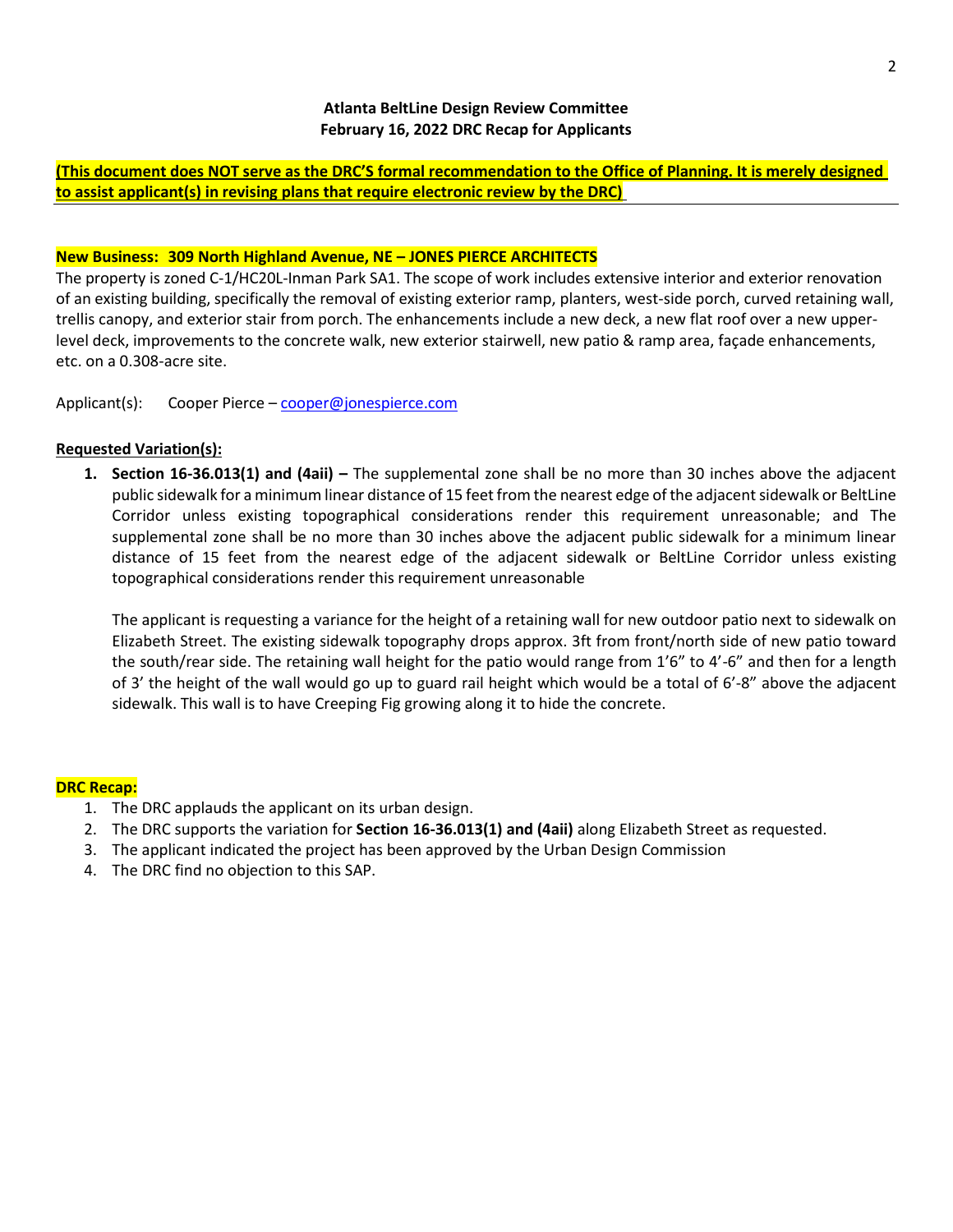**(This document does NOT serve as the DRC'S formal recommendation to the Office of Planning. It is merely designed to assist applicant(s) in revising plans that require electronic review by the DRC)**

### **New Business: 309 North Highland Avenue, NE – JONES PIERCE ARCHITECTS**

The property is zoned C-1/HC20L-Inman Park SA1. The scope of work includes extensive interior and exterior renovation of an existing building, specifically the removal of existing exterior ramp, planters, west-side porch, curved retaining wall, trellis canopy, and exterior stair from porch. The enhancements include a new deck, a new flat roof over a new upperlevel deck, improvements to the concrete walk, new exterior stairwell, new patio & ramp area, façade enhancements, etc. on a 0.308-acre site.

Applicant(s): Cooper Pierce – [cooper@jonespierce.com](mailto:cooper@jonespierce.com)

### **Requested Variation(s):**

**1. Section 16-36.013(1) and (4aii) –** The supplemental zone shall be no more than 30 inches above the adjacent public sidewalk for a minimum linear distance of 15 feet from the nearest edge of the adjacent sidewalk or BeltLine Corridor unless existing topographical considerations render this requirement unreasonable; and The supplemental zone shall be no more than 30 inches above the adjacent public sidewalk for a minimum linear distance of 15 feet from the nearest edge of the adjacent sidewalk or BeltLine Corridor unless existing topographical considerations render this requirement unreasonable

The applicant is requesting a variance for the height of a retaining wall for new outdoor patio next to sidewalk on Elizabeth Street. The existing sidewalk topography drops approx. 3ft from front/north side of new patio toward the south/rear side. The retaining wall height for the patio would range from 1'6" to 4'-6" and then for a length of 3' the height of the wall would go up to guard rail height which would be a total of 6'-8" above the adjacent sidewalk. This wall is to have Creeping Fig growing along it to hide the concrete.

### **DRC Recap:**

- 1. The DRC applauds the applicant on its urban design.
- 2. The DRC supports the variation for **Section 16-36.013(1) and (4aii)** along Elizabeth Street as requested.
- 3. The applicant indicated the project has been approved by the Urban Design Commission
- 4. The DRC find no objection to this SAP.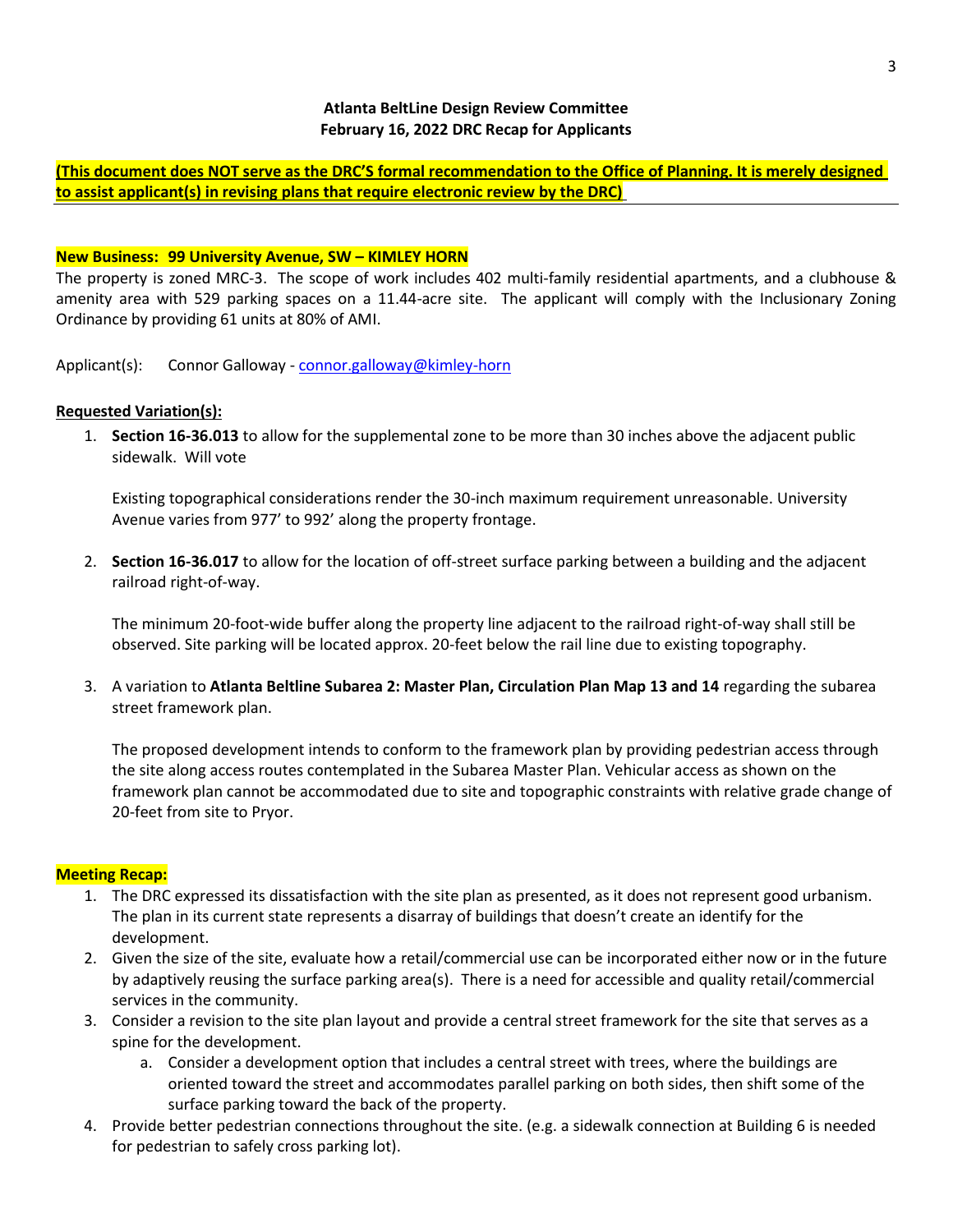**(This document does NOT serve as the DRC'S formal recommendation to the Office of Planning. It is merely designed to assist applicant(s) in revising plans that require electronic review by the DRC)**

### **New Business: 99 University Avenue, SW – KIMLEY HORN**

The property is zoned MRC-3. The scope of work includes 402 multi-family residential apartments, and a clubhouse & amenity area with 529 parking spaces on a 11.44-acre site. The applicant will comply with the Inclusionary Zoning Ordinance by providing 61 units at 80% of AMI.

Applicant(s): Connor Galloway - [connor.galloway@kimley-horn](mailto:connor.galloway@kimley-horn)

### **Requested Variation(s):**

1. **Section 16-36.013** to allow for the supplemental zone to be more than 30 inches above the adjacent public sidewalk. Will vote

Existing topographical considerations render the 30-inch maximum requirement unreasonable. University Avenue varies from 977' to 992' along the property frontage.

2. **Section 16-36.017** to allow for the location of off-street surface parking between a building and the adjacent railroad right-of-way.

The minimum 20-foot-wide buffer along the property line adjacent to the railroad right-of-way shall still be observed. Site parking will be located approx. 20-feet below the rail line due to existing topography.

3. A variation to **Atlanta Beltline Subarea 2: Master Plan, Circulation Plan Map 13 and 14** regarding the subarea street framework plan.

The proposed development intends to conform to the framework plan by providing pedestrian access through the site along access routes contemplated in the Subarea Master Plan. Vehicular access as shown on the framework plan cannot be accommodated due to site and topographic constraints with relative grade change of 20-feet from site to Pryor.

# **Meeting Recap:**

- 1. The DRC expressed its dissatisfaction with the site plan as presented, as it does not represent good urbanism. The plan in its current state represents a disarray of buildings that doesn't create an identify for the development.
- 2. Given the size of the site, evaluate how a retail/commercial use can be incorporated either now or in the future by adaptively reusing the surface parking area(s). There is a need for accessible and quality retail/commercial services in the community.
- 3. Consider a revision to the site plan layout and provide a central street framework for the site that serves as a spine for the development.
	- a. Consider a development option that includes a central street with trees, where the buildings are oriented toward the street and accommodates parallel parking on both sides, then shift some of the surface parking toward the back of the property.
- 4. Provide better pedestrian connections throughout the site. (e.g. a sidewalk connection at Building 6 is needed for pedestrian to safely cross parking lot).